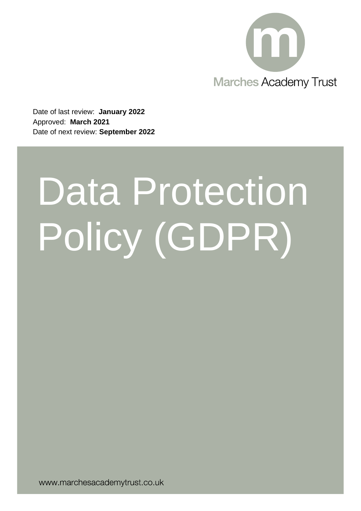

Date of last review: **January 2022** Approved: **March 2021** Date of next review: **September 2022**

# Data Protection Policy (GDPR)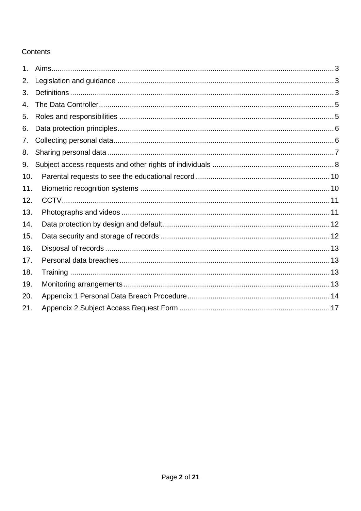# Contents

| 1 <sub>1</sub> |  |
|----------------|--|
| 2.             |  |
| 3.             |  |
| 4.             |  |
| 5.             |  |
| 6.             |  |
| 7.             |  |
| 8.             |  |
| 9.             |  |
| 10.            |  |
| 11.            |  |
| 12.            |  |
| 13.            |  |
| 14.            |  |
| 15.            |  |
| 16.            |  |
| 17.            |  |
| 18.            |  |
| 19.            |  |
| 20.            |  |
| 21.            |  |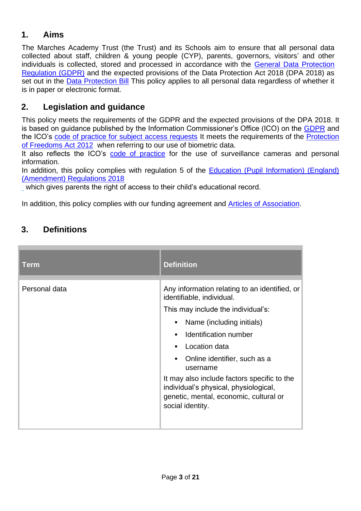# <span id="page-2-0"></span>**1. Aims**

The Marches Academy Trust (the Trust) and its Schools aim to ensure that all personal data collected about staff, children & young people (CYP), parents, governors, visitors' and other individuals is collected, stored and processed in accordance with the [General Data Protection](https://www.legislation.gov.uk/ukpga/2018/12/contents/enacted)  [Regulation \(GDPR\)](https://www.legislation.gov.uk/ukpga/2018/12/contents/enacted) and the expected provisions of the Data Protection Act 2018 (DPA 2018) as set out in the [Data Protection Bill](https://publications.parliament.uk/pa/bills/cbill/2017-2019/0190/18190.pdf) This policy applies to all personal data regardless of whether it is in paper or electronic format.

# <span id="page-2-1"></span>**2. Legislation and guidance**

This policy meets the requirements of the GDPR and the expected provisions of the DPA 2018. It is based on guidance published by the Information Commissioner's Office (ICO) on the [GDPR](https://www.legislation.gov.uk/ukpga/2018/12/contents/enacted) and the ICO's [code of practice for subject access requests](https://ico.org.uk/for-organisations/guide-to-data-protection/guide-to-the-general-data-protection-regulation-gdpr/right-of-access/) It meets the requirements of the [Protection](https://www.legislation.gov.uk/ukpga/2012/9/contents/enacted)  [of Freedoms Act 2012](https://www.legislation.gov.uk/ukpga/2012/9/contents/enacted) when referring to our use of biometric data.

It also reflects the ICO's [code of practice](https://ico.org.uk/for-organisations/guide-to-data-protection-1998/encryption/scenarios/cctv/) for the use of surveillance cameras and personal information.

In addition, this policy complies with regulation 5 of the Education (Pupil Information) (England) [\(Amendment\) Regulations 2018](https://www.legislation.gov.uk/uksi/2018/688/contents/made)

which gives parents the right of access to their child's educational record.

In addition, this policy complies with our funding agreement and [Articles of Association.](https://www.marchesacademytrust.co.uk/wp-content/uploads/sites/3/2017/12/Articles-of-Association-November-2017.pdf)

# <span id="page-2-2"></span>**3. Definitions**

| <b>Term</b>   | <b>Definition</b>                                                                                                                                                                                                                                                                                                                                                                                                                       |
|---------------|-----------------------------------------------------------------------------------------------------------------------------------------------------------------------------------------------------------------------------------------------------------------------------------------------------------------------------------------------------------------------------------------------------------------------------------------|
| Personal data | Any information relating to an identified, or<br>identifiable, individual.<br>This may include the individual's:<br>Name (including initials)<br>٠<br>Identification number<br>$\blacksquare$<br>Location data<br>$\blacksquare$<br>Online identifier, such as a<br>٠<br>username<br>It may also include factors specific to the<br>individual's physical, physiological,<br>genetic, mental, economic, cultural or<br>social identity. |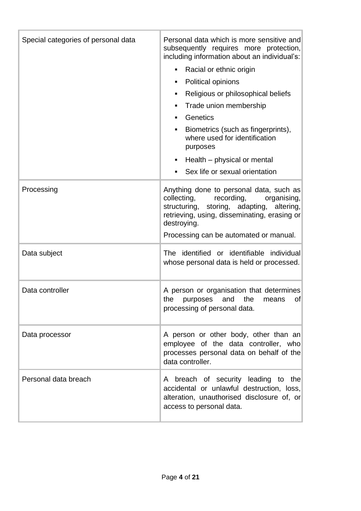| Special categories of personal data | Personal data which is more sensitive and<br>subsequently requires more protection,<br>including information about an individual's:<br>Racial or ethnic origin<br>٠<br>Political opinions<br>٠<br>Religious or philosophical beliefs<br>٠<br>Trade union membership<br>٠<br>Genetics<br>٠<br>Biometrics (such as fingerprints),<br>where used for identification<br>purposes<br>Health – physical or mental<br>$\blacksquare$<br>Sex life or sexual orientation<br>٠ |
|-------------------------------------|----------------------------------------------------------------------------------------------------------------------------------------------------------------------------------------------------------------------------------------------------------------------------------------------------------------------------------------------------------------------------------------------------------------------------------------------------------------------|
| Processing                          | Anything done to personal data, such as<br>collecting,<br>recording,<br>organising,<br>structuring,<br>storing, adapting,<br>altering,<br>retrieving, using, disseminating, erasing or<br>destroying.<br>Processing can be automated or manual.                                                                                                                                                                                                                      |
| Data subject                        | The identified or identifiable individual<br>whose personal data is held or processed.                                                                                                                                                                                                                                                                                                                                                                               |
| Data controller                     | A person or organisation that determines<br>the<br>the<br>$\circ$ f<br>purposes<br>and<br>means<br>processing of personal data.                                                                                                                                                                                                                                                                                                                                      |
| Data processor                      | A person or other body, other than an<br>employee of the data controller, who<br>processes personal data on behalf of the<br>data controller.                                                                                                                                                                                                                                                                                                                        |
| Personal data breach                | A breach of security leading to the<br>accidental or unlawful destruction, loss,<br>alteration, unauthorised disclosure of, or<br>access to personal data.                                                                                                                                                                                                                                                                                                           |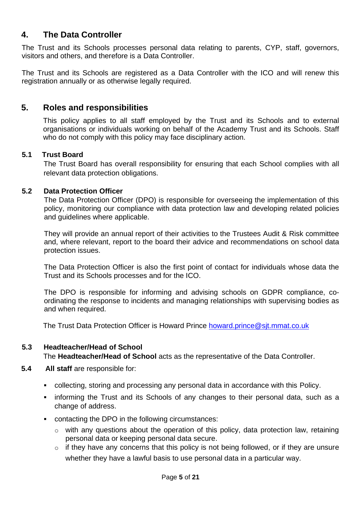# <span id="page-4-0"></span>**4. The Data Controller**

The Trust and its Schools processes personal data relating to parents, CYP, staff, governors, visitors and others, and therefore is a Data Controller.

The Trust and its Schools are registered as a Data Controller with the ICO and will renew this registration annually or as otherwise legally required.

## <span id="page-4-1"></span>**5. Roles and responsibilities**

This policy applies to all staff employed by the Trust and its Schools and to external organisations or individuals working on behalf of the Academy Trust and its Schools. Staff who do not comply with this policy may face disciplinary action.

## **5.1 Trust Board**

The Trust Board has overall responsibility for ensuring that each School complies with all relevant data protection obligations.

## **5.2 Data Protection Officer**

The Data Protection Officer (DPO) is responsible for overseeing the implementation of this policy, monitoring our compliance with data protection law and developing related policies and guidelines where applicable.

They will provide an annual report of their activities to the Trustees Audit & Risk committee and, where relevant, report to the board their advice and recommendations on school data protection issues.

The Data Protection Officer is also the first point of contact for individuals whose data the Trust and its Schools processes and for the ICO.

The DPO is responsible for informing and advising schools on GDPR compliance, coordinating the response to incidents and managing relationships with supervising bodies as and when required.

The Trust Data Protection Officer is Howard Prince howard.prince@sit.mmat.co.uk

## **5.3 Headteacher/Head of School**

The **Headteacher/Head of School** acts as the representative of the Data Controller.

- **5.4 All staff** are responsible for:
	- collecting, storing and processing any personal data in accordance with this Policy.
	- **.** informing the Trust and its Schools of any changes to their personal data, such as a change of address.
	- contacting the DPO in the following circumstances:
		- $\circ$  with any questions about the operation of this policy, data protection law, retaining personal data or keeping personal data secure.
		- $\circ$  if they have any concerns that this policy is not being followed, or if they are unsure whether they have a lawful basis to use personal data in a particular way.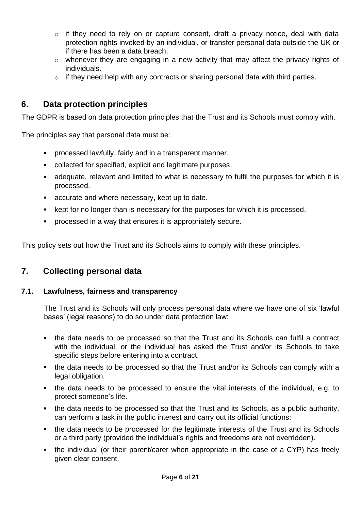- $\circ$  if they need to rely on or capture consent, draft a privacy notice, deal with data protection rights invoked by an individual, or transfer personal data outside the UK or if there has been a data breach.
- o whenever they are engaging in a new activity that may affect the privacy rights of individuals.
- $\circ$  if they need help with any contracts or sharing personal data with third parties.

## <span id="page-5-0"></span>**6. Data protection principles**

The GDPR is based on data protection principles that the Trust and its Schools must comply with.

The principles say that personal data must be:

- processed lawfully, fairly and in a transparent manner.
- collected for specified, explicit and legitimate purposes.
- **EXEDENT** adequate, relevant and limited to what is necessary to fulfil the purposes for which it is processed.
- accurate and where necessary, kept up to date.
- kept for no longer than is necessary for the purposes for which it is processed.
- processed in a way that ensures it is appropriately secure.

This policy sets out how the Trust and its Schools aims to comply with these principles.

## <span id="page-5-1"></span>**7. Collecting personal data**

## **7.1. Lawfulness, fairness and transparency**

The Trust and its Schools will only process personal data where we have one of six 'lawful bases' (legal reasons) to do so under data protection law:

- the data needs to be processed so that the Trust and its Schools can fulfil a contract with the individual, or the individual has asked the Trust and/or its Schools to take specific steps before entering into a contract.
- the data needs to be processed so that the Trust and/or its Schools can comply with a legal obligation.
- the data needs to be processed to ensure the vital interests of the individual, e.g. to protect someone's life.
- the data needs to be processed so that the Trust and its Schools, as a public authority, can perform a task in the public interest and carry out its official functions;
- the data needs to be processed for the legitimate interests of the Trust and its Schools or a third party (provided the individual's rights and freedoms are not overridden).
- the individual (or their parent/carer when appropriate in the case of a CYP) has freely given clear consent.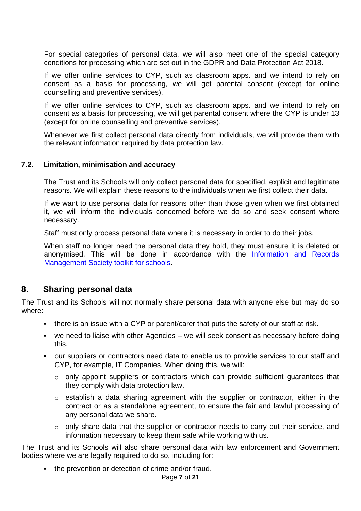For special categories of personal data, we will also meet one of the special category conditions for processing which are set out in the GDPR and Data Protection Act 2018.

If we offer online services to CYP, such as classroom apps. and we intend to rely on consent as a basis for processing, we will get parental consent (except for online counselling and preventive services).

If we offer online services to CYP, such as classroom apps. and we intend to rely on consent as a basis for processing, we will get parental consent where the CYP is under 13 (except for online counselling and preventive services).

Whenever we first collect personal data directly from individuals, we will provide them with the relevant information required by data protection law.

## **7.2. Limitation, minimisation and accuracy**

The Trust and its Schools will only collect personal data for specified, explicit and legitimate reasons. We will explain these reasons to the individuals when we first collect their data.

If we want to use personal data for reasons other than those given when we first obtained it, we will inform the individuals concerned before we do so and seek consent where necessary.

Staff must only process personal data where it is necessary in order to do their jobs.

When staff no longer need the personal data they hold, they must ensure it is deleted or anonymised. This will be done in accordance with the [Information and Records](https://irms.org.uk/page/SchoolsToolkit)  [Management Society toolkit for schools.](https://irms.org.uk/page/SchoolsToolkit)

## <span id="page-6-0"></span>**8. Sharing personal data**

The Trust and its Schools will not normally share personal data with anyone else but may do so where:

- **•** there is an issue with a CYP or parent/carer that puts the safety of our staff at risk.
- we need to liaise with other Agencies we will seek consent as necessary before doing this.
- our suppliers or contractors need data to enable us to provide services to our staff and CYP, for example, IT Companies. When doing this, we will:
	- o only appoint suppliers or contractors which can provide sufficient guarantees that they comply with data protection law.
	- o establish a data sharing agreement with the supplier or contractor, either in the contract or as a standalone agreement, to ensure the fair and lawful processing of any personal data we share.
	- o only share data that the supplier or contractor needs to carry out their service, and information necessary to keep them safe while working with us.

The Trust and its Schools will also share personal data with law enforcement and Government bodies where we are legally required to do so, including for:

▪ the prevention or detection of crime and/or fraud.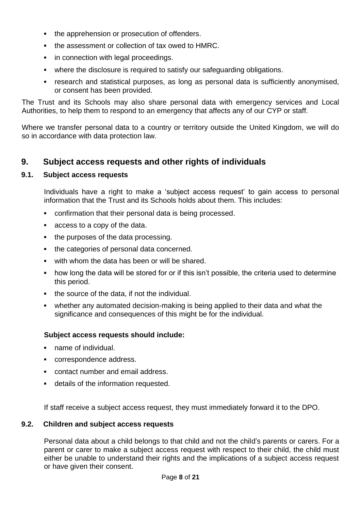- the apprehension or prosecution of offenders.
- the assessment or collection of tax owed to HMRC.
- **•** in connection with legal proceedings.
- where the disclosure is required to satisfy our safeguarding obligations.
- research and statistical purposes, as long as personal data is sufficiently anonymised, or consent has been provided.

The Trust and its Schools may also share personal data with emergency services and Local Authorities, to help them to respond to an emergency that affects any of our CYP or staff.

Where we transfer personal data to a country or territory outside the United Kingdom, we will do so in accordance with data protection law.

## <span id="page-7-0"></span>**9. Subject access requests and other rights of individuals**

## **9.1. Subject access requests**

Individuals have a right to make a 'subject access request' to gain access to personal information that the Trust and its Schools holds about them. This includes:

- confirmation that their personal data is being processed.
- access to a copy of the data.
- the purposes of the data processing.
- the categories of personal data concerned.
- with whom the data has been or will be shared.
- how long the data will be stored for or if this isn't possible, the criteria used to determine this period.
- the source of the data, if not the individual.
- whether any automated decision-making is being applied to their data and what the significance and consequences of this might be for the individual.

## **Subject access requests should include:**

- name of individual.
- correspondence address.
- contact number and email address.
- details of the information requested.

If staff receive a subject access request, they must immediately forward it to the DPO.

#### **9.2. Children and subject access requests**

Personal data about a child belongs to that child and not the child's parents or carers. For a parent or carer to make a subject access request with respect to their child, the child must either be unable to understand their rights and the implications of a subject access request or have given their consent.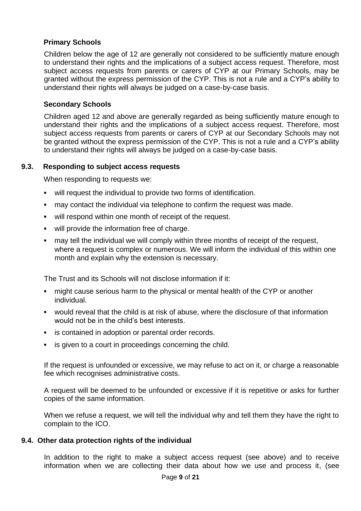## **Primary Schools**

Children below the age of 12 are generally not considered to be sufficiently mature enough to understand their rights and the implications of a subject access request. Therefore, most subject access requests from parents or carers of CYP at our Primary Schools, may be granted without the express permission of the CYP. This is not a rule and a CYP's ability to understand their rights will always be judged on a case-by-case basis.

## **Secondary Schools**

Children aged 12 and above are generally regarded as being sufficiently mature enough to understand their rights and the implications of a subject access request. Therefore, most subject access requests from parents or carers of CYP at our Secondary Schools may not be granted without the express permission of the CYP. This is not a rule and a CYP's ability to understand their rights will always be judged on a case-by-case basis.

## **9.3. Responding to subject access requests**

When responding to requests we:

- will request the individual to provide two forms of identification.
- may contact the individual via telephone to confirm the request was made.
- will respond within one month of receipt of the request.
- will provide the information free of charge.
- may tell the individual we will comply within three months of receipt of the request, where a request is complex or numerous. We will inform the individual of this within one month and explain why the extension is necessary.

The Trust and its Schools will not disclose information if it:

- might cause serious harm to the physical or mental health of the CYP or another individual.
- would reveal that the child is at risk of abuse, where the disclosure of that information would not be in the child's best interests.
- is contained in adoption or parental order records.
- **EXECT** is given to a court in proceedings concerning the child.

If the request is unfounded or excessive, we may refuse to act on it, or charge a reasonable fee which recognises administrative costs.

A request will be deemed to be unfounded or excessive if it is repetitive or asks for further copies of the same information.

When we refuse a request, we will tell the individual why and tell them they have the right to complain to the ICO.

## **9.4. Other data protection rights of the individual**

In addition to the right to make a subject access request (see above) and to receive information when we are collecting their data about how we use and process it, (see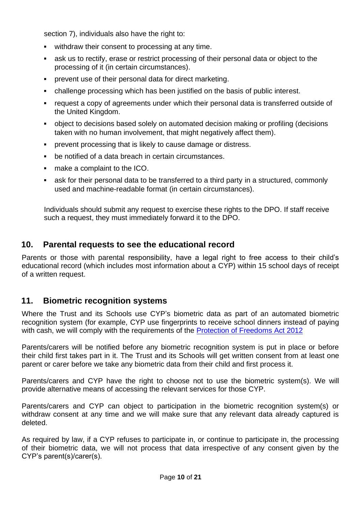section 7), individuals also have the right to:

- withdraw their consent to processing at any time.
- **EXECT** ask us to rectify, erase or restrict processing of their personal data or object to the processing of it (in certain circumstances).
- prevent use of their personal data for direct marketing.
- challenge processing which has been justified on the basis of public interest.
- request a copy of agreements under which their personal data is transferred outside of the United Kingdom.
- object to decisions based solely on automated decision making or profiling (decisions taken with no human involvement, that might negatively affect them).
- prevent processing that is likely to cause damage or distress.
- be notified of a data breach in certain circumstances.
- make a complaint to the ICO.
- ask for their personal data to be transferred to a third party in a structured, commonly used and machine-readable format (in certain circumstances).

Individuals should submit any request to exercise these rights to the DPO. If staff receive such a request, they must immediately forward it to the DPO.

## <span id="page-9-0"></span>**10. Parental requests to see the educational record**

Parents or those with parental responsibility, have a legal right to free access to their child's educational record (which includes most information about a CYP) within 15 school days of receipt of a written request.

# <span id="page-9-1"></span>**11. Biometric recognition systems**

Where the Trust and its Schools use CYP's biometric data as part of an automated biometric recognition system (for example, CYP use fingerprints to receive school dinners instead of paying with cash, we will comply with the requirements of the [Protection of Freedoms Act 2012](https://www.legislation.gov.uk/ukpga/2012/9/contents/enacted)

Parents/carers will be notified before any biometric recognition system is put in place or before their child first takes part in it. The Trust and its Schools will get written consent from at least one parent or carer before we take any biometric data from their child and first process it.

Parents/carers and CYP have the right to choose not to use the biometric system(s). We will provide alternative means of accessing the relevant services for those CYP.

Parents/carers and CYP can object to participation in the biometric recognition system(s) or withdraw consent at any time and we will make sure that any relevant data already captured is deleted.

As required by law, if a CYP refuses to participate in, or continue to participate in, the processing of their biometric data, we will not process that data irrespective of any consent given by the CYP's parent(s)/carer(s).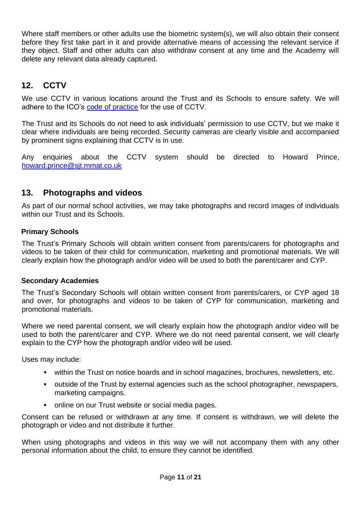Where staff members or other adults use the biometric system(s), we will also obtain their consent before they first take part in it and provide alternative means of accessing the relevant service if they object. Staff and other adults can also withdraw consent at any time and the Academy will delete any relevant data already captured.

# <span id="page-10-0"></span>**12. CCTV**

We use CCTV in various locations around the Trust and its Schools to ensure safety. We will adhere to the ICO's [code of practice](https://ico.org.uk/for-organisations/guide-to-data-protection-1998/encryption/scenarios/cctv/) for the use of CCTV.

The Trust and its Schools do not need to ask individuals' permission to use CCTV, but we make it clear where individuals are being recorded. Security cameras are clearly visible and accompanied by prominent signs explaining that CCTV is in use.

Any enquiries about the CCTV system should be directed to Howard Prince, [howard.prince@sjt.mmat.co.uk](mailto:howard.prince@sjt.mmat.co.uk)

## <span id="page-10-1"></span>**13. Photographs and videos**

As part of our normal school activities, we may take photographs and record images of individuals within our Trust and its Schools.

## **Primary Schools**

The Trust's Primary Schools will obtain written consent from parents/carers for photographs and videos to be taken of their child for communication, marketing and promotional materials. We will clearly explain how the photograph and/or video will be used to both the parent/carer and CYP.

## **Secondary Academies**

The Trust's Secondary Schools will obtain written consent from parents/carers, or CYP aged 18 and over, for photographs and videos to be taken of CYP for communication, marketing and promotional materials.

Where we need parental consent, we will clearly explain how the photograph and/or video will be used to both the parent/carer and CYP. Where we do not need parental consent, we will clearly explain to the CYP how the photograph and/or video will be used.

Uses may include:

- **EXECT** within the Trust on notice boards and in school magazines, brochures, newsletters, etc.
- outside of the Trust by external agencies such as the school photographer, newspapers, marketing campaigns.
- online on our Trust website or social media pages.

Consent can be refused or withdrawn at any time. If consent is withdrawn, we will delete the photograph or video and not distribute it further.

When using photographs and videos in this way we will not accompany them with any other personal information about the child, to ensure they cannot be identified.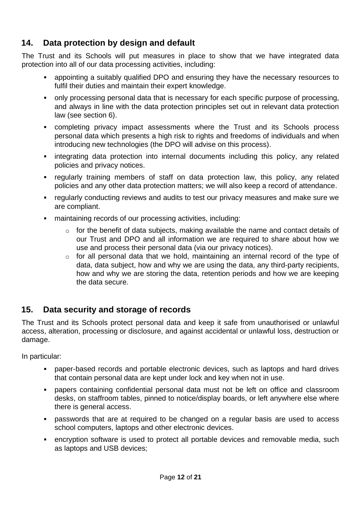# <span id="page-11-0"></span>**14. Data protection by design and default**

The Trust and its Schools will put measures in place to show that we have integrated data protection into all of our data processing activities, including:

- appointing a suitably qualified DPO and ensuring they have the necessary resources to fulfil their duties and maintain their expert knowledge.
- only processing personal data that is necessary for each specific purpose of processing, and always in line with the data protection principles set out in relevant data protection law (see section 6).
- completing privacy impact assessments where the Trust and its Schools process personal data which presents a high risk to rights and freedoms of individuals and when introducing new technologies (the DPO will advise on this process).
- **•** integrating data protection into internal documents including this policy, any related policies and privacy notices.
- regularly training members of staff on data protection law, this policy, any related policies and any other data protection matters; we will also keep a record of attendance.
- regularly conducting reviews and audits to test our privacy measures and make sure we are compliant.
- maintaining records of our processing activities, including:
	- o for the benefit of data subjects, making available the name and contact details of our Trust and DPO and all information we are required to share about how we use and process their personal data (via our privacy notices).
	- o for all personal data that we hold, maintaining an internal record of the type of data, data subject, how and why we are using the data, any third-party recipients, how and why we are storing the data, retention periods and how we are keeping the data secure.

# <span id="page-11-1"></span>**15. Data security and storage of records**

The Trust and its Schools protect personal data and keep it safe from unauthorised or unlawful access, alteration, processing or disclosure, and against accidental or unlawful loss, destruction or damage.

In particular:

- paper-based records and portable electronic devices, such as laptops and hard drives that contain personal data are kept under lock and key when not in use.
- papers containing confidential personal data must not be left on office and classroom desks, on staffroom tables, pinned to notice/display boards, or left anywhere else where there is general access.
- passwords that are at required to be changed on a regular basis are used to access school computers, laptops and other electronic devices.
- **•** encryption software is used to protect all portable devices and removable media, such as laptops and USB devices;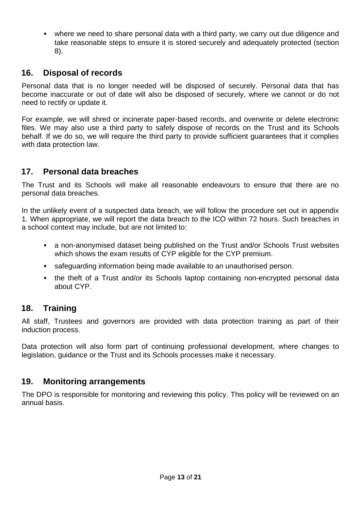▪ where we need to share personal data with a third party, we carry out due diligence and take reasonable steps to ensure it is stored securely and adequately protected (section 8).

# <span id="page-12-0"></span>**16. Disposal of records**

Personal data that is no longer needed will be disposed of securely. Personal data that has become inaccurate or out of date will also be disposed of securely, where we cannot or do not need to rectify or update it.

For example, we will shred or incinerate paper-based records, and overwrite or delete electronic files. We may also use a third party to safely dispose of records on the Trust and its Schools behalf. If we do so, we will require the third party to provide sufficient guarantees that it complies with data protection law.

# <span id="page-12-1"></span>**17. Personal data breaches**

The Trust and its Schools will make all reasonable endeavours to ensure that there are no personal data breaches.

In the unlikely event of a suspected data breach, we will follow the procedure set out in appendix 1. When appropriate, we will report the data breach to the ICO within 72 hours. Such breaches in a school context may include, but are not limited to:

- a non-anonymised dataset being published on the Trust and/or Schools Trust websites which shows the exam results of CYP eligible for the CYP premium.
- **E** safeguarding information being made available to an unauthorised person.
- the theft of a Trust and/or its Schools laptop containing non-encrypted personal data about CYP.

# <span id="page-12-2"></span>**18. Training**

All staff, Trustees and governors are provided with data protection training as part of their induction process.

Data protection will also form part of continuing professional development, where changes to legislation, guidance or the Trust and its Schools processes make it necessary.

## <span id="page-12-3"></span>**19. Monitoring arrangements**

The DPO is responsible for monitoring and reviewing this policy. This policy will be reviewed on an annual basis.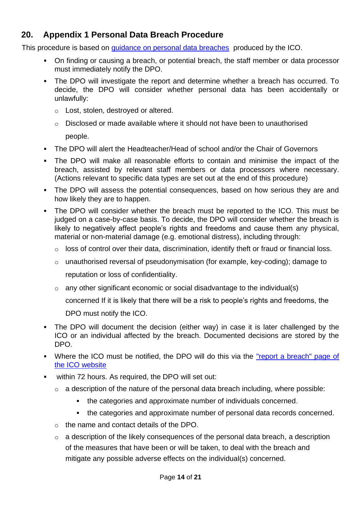# <span id="page-13-0"></span>**20. Appendix 1 Personal Data Breach Procedure**

This procedure is based on [guidance on personal data breaches](https://ico.org.uk/for-organisations/guide-to-data-protection/guide-to-the-general-data-protection-regulation-gdpr/personal-data-breaches/) produced by the ICO.

- On finding or causing a breach, or potential breach, the staff member or data processor must immediately notify the DPO.
- The DPO will investigate the report and determine whether a breach has occurred. To decide, the DPO will consider whether personal data has been accidentally or unlawfully:
	- o Lost, stolen, destroyed or altered.
	- $\circ$  Disclosed or made available where it should not have been to unauthorised

people.

- The DPO will alert the Headteacher/Head of school and/or the Chair of Governors
- The DPO will make all reasonable efforts to contain and minimise the impact of the breach, assisted by relevant staff members or data processors where necessary. (Actions relevant to specific data types are set out at the end of this procedure)
- **•** The DPO will assess the potential consequences, based on how serious they are and how likely they are to happen.
- The DPO will consider whether the breach must be reported to the ICO. This must be judged on a case-by-case basis. To decide, the DPO will consider whether the breach is likely to negatively affect people's rights and freedoms and cause them any physical, material or non-material damage (e.g. emotional distress), including through:
	- o loss of control over their data, discrimination, identify theft or fraud or financial loss.
	- o unauthorised reversal of pseudonymisation (for example, key-coding); damage to reputation or loss of confidentiality.
	- $\circ$  any other significant economic or social disadvantage to the individual(s)
		- concerned If it is likely that there will be a risk to people's rights and freedoms, the
		- DPO must notify the ICO.
- The DPO will document the decision (either way) in case it is later challenged by the ICO or an individual affected by the breach. Documented decisions are stored by the DPO.
- Where the ICO must be notified, the DPO will do this via the "report a breach" page of [the ICO](https://ico.org.uk/for-organisations/report-a-breach/) website
- within 72 hours. As required, the DPO will set out:
	- $\circ$  a description of the nature of the personal data breach including, where possible:
		- **the categories and approximate number of individuals concerned.**
		- **the categories and approximate number of personal data records concerned.**
	- o the name and contact details of the DPO.
	- $\circ$  a description of the likely consequences of the personal data breach, a description of the measures that have been or will be taken, to deal with the breach and mitigate any possible adverse effects on the individual(s) concerned.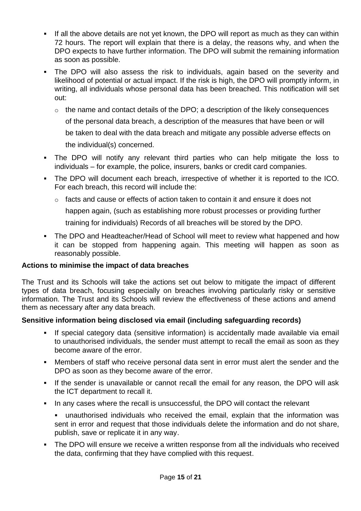- **.** If all the above details are not yet known, the DPO will report as much as they can within 72 hours. The report will explain that there is a delay, the reasons why, and when the DPO expects to have further information. The DPO will submit the remaining information as soon as possible.
- **.** The DPO will also assess the risk to individuals, again based on the severity and likelihood of potential or actual impact. If the risk is high, the DPO will promptly inform, in writing, all individuals whose personal data has been breached. This notification will set out:
	- $\circ$  the name and contact details of the DPO; a description of the likely consequences of the personal data breach, a description of the measures that have been or will be taken to deal with the data breach and mitigate any possible adverse effects on the individual(s) concerned.
- The DPO will notify any relevant third parties who can help mitigate the loss to individuals – for example, the police, insurers, banks or credit card companies.
- The DPO will document each breach, irrespective of whether it is reported to the ICO. For each breach, this record will include the:
	- $\circ$  facts and cause or effects of action taken to contain it and ensure it does not

happen again, (such as establishing more robust processes or providing further

training for individuals) Records of all breaches will be stored by the DPO.

■ The DPO and Headteacher/Head of School will meet to review what happened and how it can be stopped from happening again. This meeting will happen as soon as reasonably possible.

## **Actions to minimise the impact of data breaches**

The Trust and its Schools will take the actions set out below to mitigate the impact of different types of data breach, focusing especially on breaches involving particularly risky or sensitive information. The Trust and its Schools will review the effectiveness of these actions and amend them as necessary after any data breach.

## **Sensitive information being disclosed via email (including safeguarding records)**

- If special category data (sensitive information) is accidentally made available via email to unauthorised individuals, the sender must attempt to recall the email as soon as they become aware of the error.
- **■** Members of staff who receive personal data sent in error must alert the sender and the DPO as soon as they become aware of the error.
- **.** If the sender is unavailable or cannot recall the email for any reason, the DPO will ask the ICT department to recall it.
- In any cases where the recall is unsuccessful, the DPO will contact the relevant
	- unauthorised individuals who received the email, explain that the information was sent in error and request that those individuals delete the information and do not share, publish, save or replicate it in any way.
- **•** The DPO will ensure we receive a written response from all the individuals who received the data, confirming that they have complied with this request.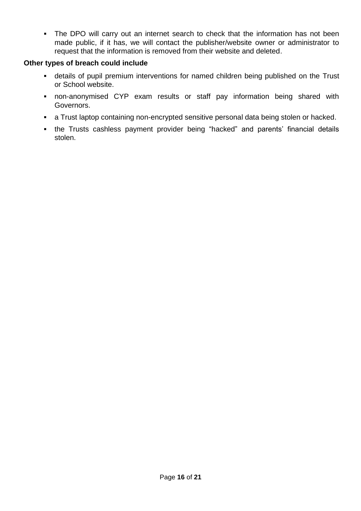• The DPO will carry out an internet search to check that the information has not been made public, if it has, we will contact the publisher/website owner or administrator to request that the information is removed from their website and deleted.

## **Other types of breach could include**

- **details of pupil premium interventions for named children being published on the Trust** or School website.
- **•** non-anonymised CYP exam results or staff pay information being shared with Governors.
- **EXE** a Trust laptop containing non-encrypted sensitive personal data being stolen or hacked.
- the Trusts cashless payment provider being "hacked" and parents' financial details stolen.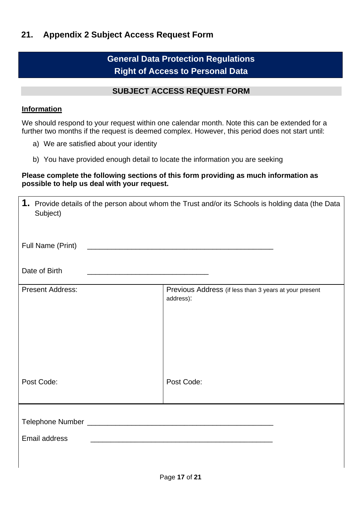# **General Data Protection Regulations Right of Access to Personal Data**

## **SUBJECT ACCESS REQUEST FORM**

## <span id="page-16-0"></span>**Information**

We should respond to your request within one calendar month. Note this can be extended for a further two months if the request is deemed complex. However, this period does not start until:

- a) We are satisfied about your identity
- b) You have provided enough detail to locate the information you are seeking

## **Please complete the following sections of this form providing as much information as possible to help us deal with your request.**

| 1. Provide details of the person about whom the Trust and/or its Schools is holding data (the Data<br>Subject)                         |                                                                     |  |  |  |
|----------------------------------------------------------------------------------------------------------------------------------------|---------------------------------------------------------------------|--|--|--|
| Full Name (Print) 2008 2009 2010 2021 2022 2023 2024 2022 2023 2024 2022 2023 2024 2022 2023 2024 2022 2023 20                         |                                                                     |  |  |  |
| Date of Birth<br><u> 1980 - Johann Barn, mars ann an t-Amhain an t-Amhain an t-Amhain an t-Amhain an t-Amhain an t-Amhain an t-Amh</u> |                                                                     |  |  |  |
| <b>Present Address:</b>                                                                                                                | Previous Address (if less than 3 years at your present<br>address): |  |  |  |
| Post Code:                                                                                                                             | Post Code:                                                          |  |  |  |
|                                                                                                                                        |                                                                     |  |  |  |
| Email address                                                                                                                          |                                                                     |  |  |  |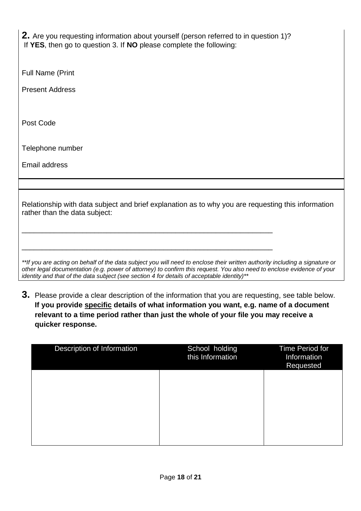**2.** Are you requesting information about yourself (person referred to in question 1)? If **YES**, then go to question 3. If **NO** please complete the following:

Full Name (Print

Present Address

Post Code

Telephone number

Email address

Relationship with data subject and brief explanation as to why you are requesting this information rather than the data subject:

\_\_\_\_\_\_\_\_\_\_\_\_\_\_\_\_\_\_\_\_\_\_\_\_\_\_\_\_\_\_\_\_\_\_\_\_\_\_\_\_\_\_\_\_\_\_\_\_\_\_\_\_\_\_\_\_\_\_\_\_\_\_

\_\_\_\_\_\_\_\_\_\_\_\_\_\_\_\_\_\_\_\_\_\_\_\_\_\_\_\_\_\_\_\_\_\_\_\_\_\_\_\_\_\_\_\_\_\_\_\_\_\_\_\_\_\_\_\_\_\_\_\_\_\_

*\*\*If you are acting on behalf of the data subject you will need to enclose their written authority including a signature or other legal documentation (e.g. power of attorney) to confirm this request. You also need to enclose evidence of your identity and that of the data subject (see section 4 for details of acceptable identity)\*\**

**3.** Please provide a clear description of the information that you are requesting, see table below. **If you provide specific details of what information you want, e.g. name of a document relevant to a time period rather than just the whole of your file you may receive a quicker response.**

| Description of Information | School holding<br>this Information | <b>Time Period for</b><br>Information<br>Requested |
|----------------------------|------------------------------------|----------------------------------------------------|
|                            |                                    |                                                    |
|                            |                                    |                                                    |
|                            |                                    |                                                    |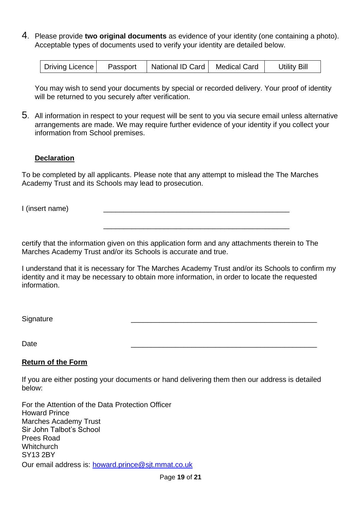4. Please provide **two original documents** as evidence of your identity (one containing a photo). Acceptable types of documents used to verify your identity are detailed below.

| Driving Licence | Passport | National ID Card | Medical Card | <b>Utility Bill</b> |
|-----------------|----------|------------------|--------------|---------------------|
|                 |          |                  |              |                     |

You may wish to send your documents by special or recorded delivery. Your proof of identity will be returned to you securely after verification.

5. All information in respect to your request will be sent to you via secure email unless alternative arrangements are made. We may require further evidence of your identity if you collect your information from School premises.

## **Declaration**

To be completed by all applicants. Please note that any attempt to mislead the The Marches Academy Trust and its Schools may lead to prosecution.

I (insert name)

certify that the information given on this application form and any attachments therein to The Marches Academy Trust and/or its Schools is accurate and true.

I understand that it is necessary for The Marches Academy Trust and/or its Schools to confirm my identity and it may be necessary to obtain more information, in order to locate the requested information.

\_\_\_\_\_\_\_\_\_\_\_\_\_\_\_\_\_\_\_\_\_\_\_\_\_\_\_\_\_\_\_\_\_\_\_\_\_\_\_\_\_\_\_\_\_\_

Signature \_\_\_\_\_\_\_\_\_\_\_\_\_\_\_\_\_\_\_\_\_\_\_\_\_\_\_\_\_\_\_\_\_\_\_\_\_\_\_\_\_\_\_\_\_\_

Date \_\_\_\_\_\_\_\_\_\_\_\_\_\_\_\_\_\_\_\_\_\_\_\_\_\_\_\_\_\_\_\_\_\_\_\_\_\_\_\_\_\_\_\_\_\_

## **Return of the Form**

If you are either posting your documents or hand delivering them then our address is detailed below:

For the Attention of the Data Protection Officer Howard Prince Marches Academy Trust Sir John Talbot's School Prees Road **Whitchurch** SY13 2BY Our email address is: [howard.prince@sjt.mmat.co.uk](mailto:howard.prince@sjt.mmat.co.uk)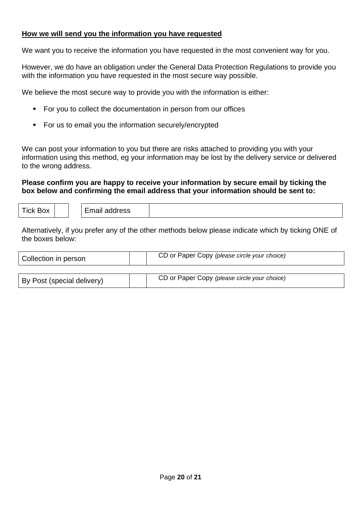## **How we will send you the information you have requested**

We want you to receive the information you have requested in the most convenient way for you.

However, we do have an obligation under the General Data Protection Regulations to provide you with the information you have requested in the most secure way possible.

We believe the most secure way to provide you with the information is either:

- For you to collect the documentation in person from our offices
- For us to email you the information securely/encrypted

We can post your information to you but there are risks attached to providing you with your information using this method, eg your information may be lost by the delivery service or delivered to the wrong address.

## **Please confirm you are happy to receive your information by secure email by ticking the box below and confirming the email address that your information should be sent to:**

| <b>Tick Box</b> |  |  | Email address |  |
|-----------------|--|--|---------------|--|
|-----------------|--|--|---------------|--|

Alternatively, if you prefer any of the other methods below please indicate which by ticking ONE of the boxes below:

| Collection in person       | CD or Paper Copy (please circle your choice) |
|----------------------------|----------------------------------------------|
|                            |                                              |
| By Post (special delivery) | CD or Paper Copy (please circle your choice) |